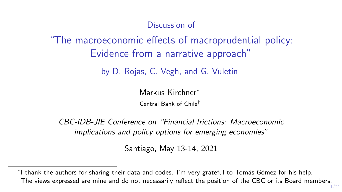Discussion of

# "The macroeconomic effects of macroprudential policy: Evidence from a narrative approach"

by D. Rojas, C. Vegh, and G. Vuletin

Markus Kirchner<sup>∗</sup>

Central Bank of Chile†

CBC-IDB-JIE Conference on "Financial frictions: Macroeconomic implications and policy options for emerging economies"

Santiago, May 13-14, 2021

<sup>\*</sup>I thank the authors for sharing their data and codes. I'm very grateful to Tomás Gómez for his help.  $\dagger$ The views expressed are mine and do not necessarily reflect the position of the CBC or its Board members.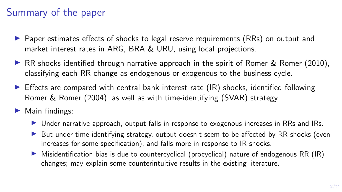# Summary of the paper

- $\triangleright$  Paper estimates effects of shocks to legal reserve requirements (RRs) on output and market interest rates in ARG, BRA & URU, using local projections.
- **IF RR** shocks identified through narrative approach in the spirit of Romer  $\&$  Romer (2010), classifying each RR change as endogenous or exogenous to the business cycle.
- $\triangleright$  Effects are compared with central bank interest rate (IR) shocks, identified following Romer & Romer (2004), as well as with time-identifying (SVAR) strategy.
- $\blacktriangleright$  Main findings:
	- Inder narrative approach, output falls in response to exogenous increases in RRs and IRs.
	- $\triangleright$  But under time-identifying strategy, output doesn't seem to be affected by RR shocks (even increases for some specification), and falls more in response to IR shocks.
	- $\triangleright$  Misidentification bias is due to countercyclical (procyclical) nature of endogenous RR (IR) changes; may explain some counterintuitive results in the existing literature.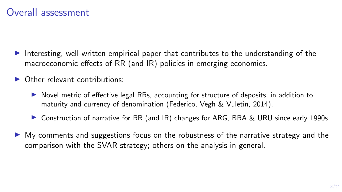- Interesting, well-written empirical paper that contributes to the understanding of the macroeconomic effects of RR (and IR) policies in emerging economies.
- $\triangleright$  Other relevant contributions:
	- $\triangleright$  Novel metric of effective legal RRs, accounting for structure of deposits, in addition to maturity and currency of denomination (Federico, Vegh & Vuletin, 2014).
	- ▶ Construction of narrative for RR (and IR) changes for ARG, BRA & URU since early 1990s.
- $\triangleright$  My comments and suggestions focus on the robustness of the narrative strategy and the comparison with the SVAR strategy; others on the analysis in general.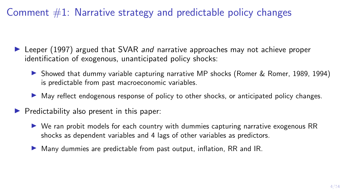- $\triangleright$  Leeper (1997) argued that SVAR *and* narrative approaches may not achieve proper identification of exogenous, unanticipated policy shocks:
	- ▶ Showed that dummy variable capturing narrative MP shocks (Romer & Romer, 1989, 1994) is predictable from past macroeconomic variables.
	- I May reflect endogenous response of policy to other shocks, or anticipated policy changes.
- $\blacktriangleright$  Predictability also present in this paper:
	- ▶ We ran probit models for each country with dummies capturing narrative exogenous RR shocks as dependent variables and 4 lags of other variables as predictors.
	- $\blacktriangleright$  Many dummies are predictable from past output, inflation, RR and IR.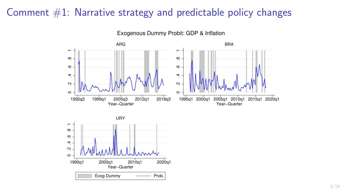

Exogenous Dummy Probit: GDP & Inflation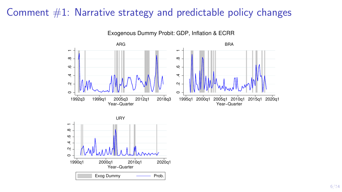

Exogenous Dummy Probit: GDP, Inflation & ECRR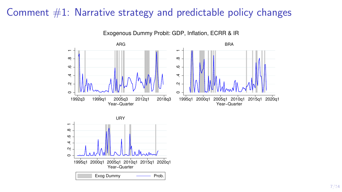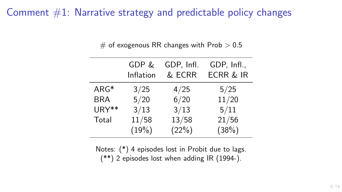|  |  |  | $\#$ of exogenous RR changes with Prob $>0.5$ |  |  |  |  |  |  |
|--|--|--|-----------------------------------------------|--|--|--|--|--|--|
|--|--|--|-----------------------------------------------|--|--|--|--|--|--|

|            | GDP &<br>Inflation | GDP, Infl.<br>& ECRR | GDP, Infl.,<br><b>ECRR &amp; IR</b> |
|------------|--------------------|----------------------|-------------------------------------|
| ARG*       | 3/25               | 4/25                 | 5/25                                |
| <b>BRA</b> | 5/20               | 6/20                 | 11/20                               |
| URY**      | 3/13               | 3/13                 | 5/11                                |
| Total      | 11/58              | 13/58                | 21/56                               |
|            | (19%)              | (22%)                | (38%)                               |

Notes: (\*) 4 episodes lost in Probit due to lags. (\*\*) 2 episodes lost when adding IR (1994-).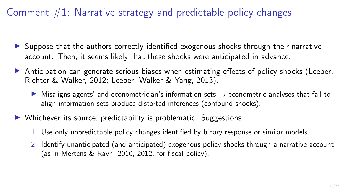- $\triangleright$  Suppose that the authors correctly identified exogenous shocks through their narrative account. Then, it seems likely that these shocks were anticipated in advance.
- $\triangleright$  Anticipation can generate serious biases when estimating effects of policy shocks (Leeper, Richter & Walker, 2012; Leeper, Walker & Yang, 2013).
	- **I** Misaligns agents' and econometrician's information sets  $\rightarrow$  econometric analyses that fail to align information sets produce distorted inferences (confound shocks).
- $\triangleright$  Whichever its source, predictability is problematic. Suggestions:
	- 1. Use only unpredictable policy changes identified by binary response or similar models.
	- 2. Identify unanticipated (and anticipated) exogenous policy shocks through a narrative account (as in Mertens & Ravn, 2010, 2012, for fiscal policy).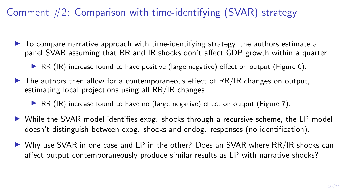# Comment  $#2$ : Comparison with time-identifying (SVAR) strategy

- $\triangleright$  To compare narrative approach with time-identifying strategy, the authors estimate a panel SVAR assuming that RR and IR shocks don't affect GDP growth within a quarter.
	- $\triangleright$  RR (IR) increase found to have positive (large negative) effect on output (Figure 6).
- $\triangleright$  The authors then allow for a contemporaneous effect of RR/IR changes on output, estimating local projections using all RR/IR changes.
	- **IF ARE (IR) increase found to have no (large negative) effect on output (Figure 7).**
- $\triangleright$  While the SVAR model identifies exog. shocks through a recursive scheme, the LP model doesn't distinguish between exog. shocks and endog. responses (no identification).
- ▶ Why use SVAR in one case and LP in the other? Does an SVAR where RR/IR shocks can affect output contemporaneously produce similar results as LP with narrative shocks?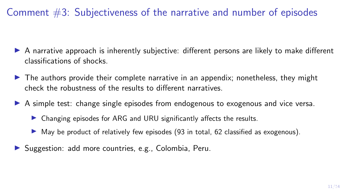Comment #3: Subjectiveness of the narrative and number of episodes

- $\triangleright$  A narrative approach is inherently subjective: different persons are likely to make different classifications of shocks.
- $\blacktriangleright$  The authors provide their complete narrative in an appendix; nonetheless, they might check the robustness of the results to different narratives.
- **IF** A simple test: change single episodes from endogenous to exogenous and vice versa.
	- $\triangleright$  Changing episodes for ARG and URU significantly affects the results.
	- $\triangleright$  May be product of relatively few episodes (93 in total, 62 classified as exogenous).
- In Suggestion: add more countries, e.g., Colombia, Peru.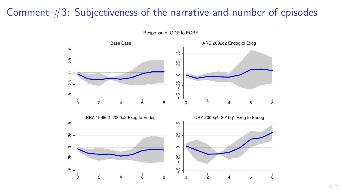#### Comment #3: Subjectiveness of the narrative and number of episodes



Response of GDP to ECRR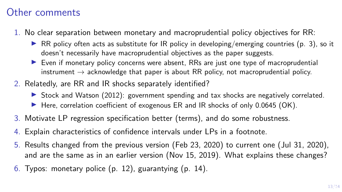## Other comments

- 1. No clear separation between monetary and macroprudential policy objectives for RR:
	- $\triangleright$  RR policy often acts as substitute for IR policy in developing/emerging countries (p. 3), so it doesn't necessarily have macroprudential objectives as the paper suggests.
	- $\triangleright$  Even if monetary policy concerns were absent. RRs are just one type of macroprudential instrument  $\rightarrow$  acknowledge that paper is about RR policy, not macroprudential policy.
- 2. Relatedly, are RR and IR shocks separately identified?
	- $\triangleright$  Stock and Watson (2012): government spending and tax shocks are negatively correlated.
	- Here, correlation coefficient of exogenous ER and IR shocks of only  $0.0645$  (OK).
- 3. Motivate LP regression specification better (terms), and do some robustness.
- 4. Explain characteristics of confidence intervals under LPs in a footnote.
- 5. Results changed from the previous version (Feb 23, 2020) to current one (Jul 31, 2020), and are the same as in an earlier version (Nov 15, 2019). What explains these changes?
- 6. Typos: monetary police (p. 12), guarantying (p. 14).